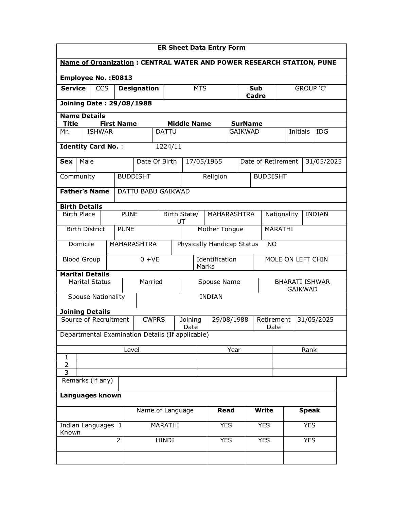| <b>ER Sheet Data Entry Form</b>      |                                                           |                   |       |                    |                    |                                         |                    |            |                     |                                  |                                                                      |                                         |                 |            |               |      |  |
|--------------------------------------|-----------------------------------------------------------|-------------------|-------|--------------------|--------------------|-----------------------------------------|--------------------|------------|---------------------|----------------------------------|----------------------------------------------------------------------|-----------------------------------------|-----------------|------------|---------------|------|--|
|                                      |                                                           |                   |       |                    |                    |                                         |                    |            |                     |                                  | Name of Organization: CENTRAL WATER AND POWER RESEARCH STATION, PUNE |                                         |                 |            |               |      |  |
|                                      | <b>Employee No.: E0813</b>                                |                   |       |                    |                    |                                         |                    |            |                     |                                  |                                                                      |                                         |                 |            |               |      |  |
| <b>Service</b>                       | <b>CCS</b>                                                |                   |       | <b>Designation</b> |                    |                                         |                    | <b>MTS</b> | <b>Sub</b><br>Cadre |                                  |                                                                      |                                         | GROUP 'C'       |            |               |      |  |
|                                      | <b>Joining Date: 29/08/1988</b>                           |                   |       |                    |                    |                                         |                    |            |                     |                                  |                                                                      |                                         |                 |            |               |      |  |
|                                      | <b>Name Details</b>                                       |                   |       |                    |                    |                                         |                    |            |                     |                                  |                                                                      |                                         |                 |            |               |      |  |
| <b>Title</b>                         |                                                           | <b>First Name</b> |       |                    |                    |                                         | <b>Middle Name</b> |            |                     |                                  | <b>SurName</b>                                                       |                                         |                 |            |               |      |  |
| Mr.                                  | <b>ISHWAR</b>                                             |                   |       |                    | <b>DATTU</b>       |                                         |                    |            |                     |                                  | <b>GAIKWAD</b>                                                       |                                         |                 | Initials   |               | IDG. |  |
|                                      | <b>Identity Card No.:</b>                                 |                   |       |                    | 1224/11            |                                         |                    |            |                     |                                  |                                                                      |                                         |                 |            |               |      |  |
| <b>Sex</b>                           | Male<br>Date Of Birth                                     |                   |       |                    |                    |                                         |                    | 17/05/1965 |                     | Date of Retirement               |                                                                      |                                         |                 |            | 31/05/2025    |      |  |
| Community                            |                                                           |                   |       | <b>BUDDISHT</b>    |                    |                                         |                    |            | Religion            |                                  |                                                                      |                                         | <b>BUDDISHT</b> |            |               |      |  |
|                                      | <b>Father's Name</b>                                      |                   |       | DATTU BABU GAIKWAD |                    |                                         |                    |            |                     |                                  |                                                                      |                                         |                 |            |               |      |  |
|                                      |                                                           |                   |       |                    |                    |                                         |                    |            |                     |                                  |                                                                      |                                         |                 |            |               |      |  |
|                                      | <b>Birth Details</b><br><b>Birth Place</b><br><b>PUNE</b> |                   |       |                    | Birth State/<br>UT |                                         |                    |            | <b>MAHARASHTRA</b>  |                                  |                                                                      | Nationality                             |                 |            | <b>INDIAN</b> |      |  |
| <b>Birth District</b><br><b>PUNE</b> |                                                           |                   |       | Mother Tongue      |                    |                                         |                    | MARATHI    |                     |                                  |                                                                      |                                         |                 |            |               |      |  |
| Domicile                             |                                                           |                   |       | <b>MAHARASHTRA</b> |                    | Physically Handicap Status<br><b>NO</b> |                    |            |                     |                                  |                                                                      |                                         |                 |            |               |      |  |
| <b>Blood Group</b>                   |                                                           |                   |       | $0 + VE$           |                    | Identification<br>Marks                 |                    |            |                     | MOLE ON LEFT CHIN                |                                                                      |                                         |                 |            |               |      |  |
|                                      | <b>Marital Details</b>                                    |                   |       |                    |                    |                                         |                    |            |                     |                                  |                                                                      |                                         |                 |            |               |      |  |
|                                      | <b>Marital Status</b>                                     |                   |       | Married            |                    | Spouse Name                             |                    |            |                     |                                  |                                                                      | <b>BHARATI ISHWAR</b><br><b>GAIKWAD</b> |                 |            |               |      |  |
|                                      | <b>Spouse Nationality</b>                                 |                   |       |                    |                    | <b>INDIAN</b>                           |                    |            |                     |                                  |                                                                      |                                         |                 |            |               |      |  |
|                                      | <b>Joining Details</b>                                    |                   |       |                    |                    |                                         |                    |            |                     |                                  |                                                                      |                                         |                 |            |               |      |  |
|                                      | Source of Recruitment                                     |                   |       | <b>CWPRS</b>       |                    | 29/08/1988<br>Joining<br>Date           |                    |            |                     | Retirement<br>31/05/2025<br>Date |                                                                      |                                         |                 |            |               |      |  |
|                                      | Departmental Examination Details (If applicable)          |                   |       |                    |                    |                                         |                    |            |                     |                                  |                                                                      |                                         |                 |            |               |      |  |
|                                      |                                                           |                   | Level |                    |                    |                                         | Year               |            |                     |                                  |                                                                      | Rank                                    |                 |            |               |      |  |
| 1                                    |                                                           |                   |       |                    |                    |                                         |                    |            |                     |                                  |                                                                      |                                         |                 |            |               |      |  |
| $\overline{2}$<br>$\overline{3}$     |                                                           |                   |       |                    |                    |                                         |                    |            |                     |                                  |                                                                      |                                         |                 |            |               |      |  |
|                                      | Remarks (if any)                                          |                   |       |                    |                    |                                         |                    |            |                     |                                  |                                                                      |                                         |                 |            |               |      |  |
|                                      | Languages known                                           |                   |       |                    |                    |                                         |                    |            |                     |                                  |                                                                      |                                         |                 |            |               |      |  |
|                                      |                                                           |                   |       | Name of Language   |                    |                                         |                    |            |                     | Read                             |                                                                      | <b>Write</b>                            |                 |            | Speak         |      |  |
|                                      | Indian Languages 1                                        |                   |       |                    | MARATHI            |                                         |                    |            | <b>YES</b>          |                                  |                                                                      | <b>YES</b>                              |                 | <b>YES</b> |               |      |  |
| Known                                |                                                           | $\overline{2}$    |       |                    | HINDI              |                                         |                    |            |                     | <b>YES</b>                       |                                                                      | <b>YES</b><br><b>YES</b>                |                 |            |               |      |  |
|                                      |                                                           |                   |       |                    |                    |                                         |                    |            |                     |                                  |                                                                      |                                         |                 |            |               |      |  |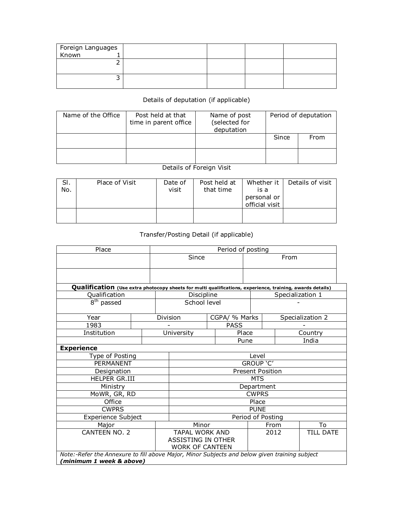| Foreign Languages<br>  Known 1 |  |  |
|--------------------------------|--|--|
|                                |  |  |
|                                |  |  |
|                                |  |  |
|                                |  |  |
|                                |  |  |

## Details of deputation (if applicable)

| Name of the Office | Post held at that<br>time in parent office | Name of post<br>(selected for<br>deputation | Period of deputation |      |  |
|--------------------|--------------------------------------------|---------------------------------------------|----------------------|------|--|
|                    |                                            |                                             | Since                | From |  |
|                    |                                            |                                             |                      |      |  |

## Details of Foreign Visit

| SI.<br>No. | Place of Visit | Date of<br>visit | Post held at<br>that time | Whether it<br>is a<br>personal or<br>official visit | Details of visit |
|------------|----------------|------------------|---------------------------|-----------------------------------------------------|------------------|
|            |                |                  |                           |                                                     |                  |

## Transfer/Posting Detail (if applicable)

| Place                                                                                                     |  | Period of posting |                           |                   |               |       |      |                  |                  |  |
|-----------------------------------------------------------------------------------------------------------|--|-------------------|---------------------------|-------------------|---------------|-------|------|------------------|------------------|--|
|                                                                                                           |  | Since             |                           |                   |               | From  |      |                  |                  |  |
|                                                                                                           |  |                   |                           |                   |               |       |      |                  |                  |  |
|                                                                                                           |  |                   |                           |                   |               |       |      |                  |                  |  |
| Qualification (Use extra photocopy sheets for multi qualifications, experience, training, awards details) |  |                   |                           |                   |               |       |      |                  |                  |  |
| Qualification                                                                                             |  |                   | Discipline                |                   |               |       |      | Specialization 1 |                  |  |
| 8 <sup>th</sup> passed                                                                                    |  |                   | School level              |                   |               |       |      |                  |                  |  |
|                                                                                                           |  |                   |                           |                   |               |       |      |                  |                  |  |
| Year                                                                                                      |  |                   | Division                  |                   | CGPA/ % Marks |       |      |                  | Specialization 2 |  |
| 1983                                                                                                      |  |                   |                           |                   | <b>PASS</b>   |       |      |                  |                  |  |
| Institution                                                                                               |  |                   | University                |                   |               | Place |      |                  | Country          |  |
|                                                                                                           |  |                   |                           | Pune              |               |       |      |                  | India            |  |
| <b>Experience</b>                                                                                         |  |                   |                           |                   |               |       |      |                  |                  |  |
| Type of Posting                                                                                           |  |                   | Level                     |                   |               |       |      |                  |                  |  |
| <b>PERMANENT</b>                                                                                          |  |                   | GROUP 'C'                 |                   |               |       |      |                  |                  |  |
| Designation                                                                                               |  |                   | <b>Present Position</b>   |                   |               |       |      |                  |                  |  |
| HELPER GR.III                                                                                             |  |                   | <b>MTS</b>                |                   |               |       |      |                  |                  |  |
| Ministry                                                                                                  |  |                   | Department                |                   |               |       |      |                  |                  |  |
| MoWR, GR, RD                                                                                              |  |                   | <b>CWPRS</b>              |                   |               |       |      |                  |                  |  |
| Office                                                                                                    |  |                   | Place                     |                   |               |       |      |                  |                  |  |
| <b>CWPRS</b>                                                                                              |  |                   | <b>PUNE</b>               |                   |               |       |      |                  |                  |  |
| <b>Experience Subject</b>                                                                                 |  |                   |                           | Period of Posting |               |       |      |                  |                  |  |
| Major                                                                                                     |  |                   | Minor                     |                   |               |       | From |                  | To               |  |
| CANTEEN NO. 2                                                                                             |  |                   | <b>TAPAL WORK AND</b>     |                   |               |       | 2012 |                  | <b>TILL DATE</b> |  |
|                                                                                                           |  |                   | <b>ASSISTING IN OTHER</b> |                   |               |       |      |                  |                  |  |
|                                                                                                           |  |                   | <b>WORK OF CANTEEN</b>    |                   |               |       |      |                  |                  |  |
| Note:-Refer the Annexure to fill above Major, Minor Subjects and below given training subject             |  |                   |                           |                   |               |       |      |                  |                  |  |
| 'minimum 1 week & above)                                                                                  |  |                   |                           |                   |               |       |      |                  |                  |  |